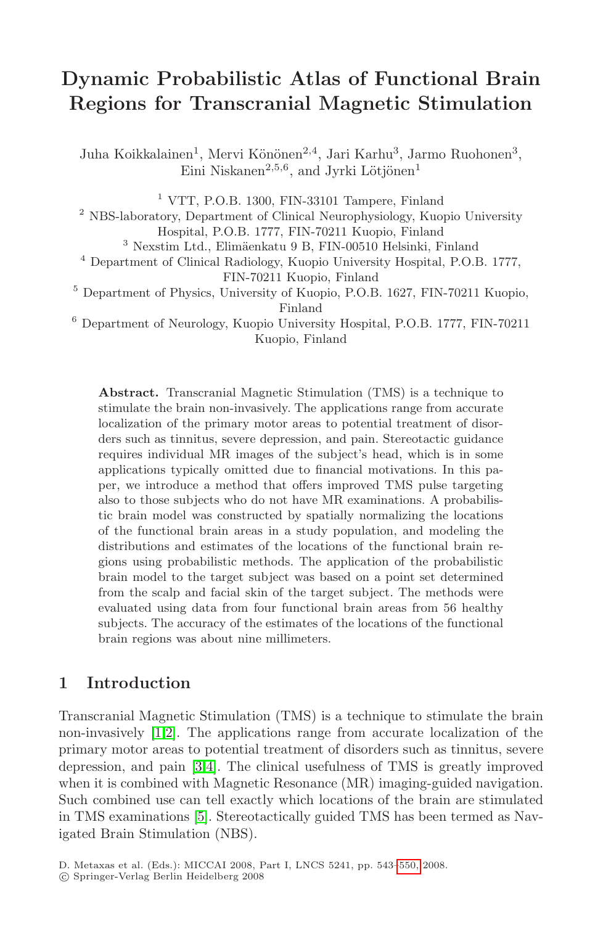# **Dynamic Probabilistic Atlas of Functional Brain Regions for Transcranial Magnetic Stimulation**

Juha Koikkalainen<sup>1</sup>, Mervi Könönen<sup>2,4</sup>, Jari Karhu<sup>3</sup>, Jarmo Ruohonen<sup>3</sup>, Eini Niskanen<sup>2,5,6</sup>, and Jyrki Lötjönen<sup>1</sup>

<sup>1</sup> VTT, P.O.B. 1300, FIN-33101 Tampere, Finland

<sup>2</sup> NBS-laboratory, Department of Clinical Neurophysiology, Kuopio University Hospital, P.O.B. 1777, FIN-70211 Kuopio, Finland

 $^3$ Nexstim Ltd., Elimäenkatu $9$  B, FIN-00510 Helsinki, Finland

<sup>4</sup> Department of Clinical Radiology, Kuopio University Hospital, P.O.B. 1777, FIN-70211 Kuopio, Finland

<sup>5</sup> Department of Physics, University of Kuopio, P.O.B. 1627, FIN-70211 Kuopio, Finland

<sup>6</sup> Department of Neurology, Kuopio University Hospital, P.O.B. 1777, FIN-70211 Kuopio, Finland

**Abstract.** Transcranial Magnetic Stimulation (TMS) is a technique to stimulate the brain non-invasively. The applications range from accurate localization of the primary motor areas to potential treatment of disorders such as tinnitus, severe depression, and pain. Stereotactic guidance requires individual MR images of the subject's head, which is in some applications typically omitted due to financial motivations. In this paper, we introduce a method that offers improved TMS pulse targeting also to those subjects who do not have MR examinations. A probabilistic brain model was constructed by spatially normalizing the locations of the functional brain areas in a study population, and modeling the distributions and estimates of the locations of the functional brain regions using probabilistic methods. The application of the probabilistic brain model to the target subject was based on a point set determined from the scalp and facial skin of the target subject. The methods were evaluated using data from four functional brain areas from 56 healthy subjects. The accuracy of the estimates of the locations of the functional brain regions was about nine millimeters.

### **1 Introduction**

Transcranial Magnetic Stimulation (TMS) is a technique to stimulate the brain non-invasively [1,2]. The applicatio[ns ra](#page-7-0)nge from accurate localization of the primary motor areas to potential treatment of disorders such as tinnitus, severe depression, and pain [3,4]. The clinical usefulness of TMS is greatly improved when it is combined with Magnetic Resonance (MR) imaging-guided navigation. Such combined use can tell exactly which locations of the brain are stimulated in TMS examinations [5]. Stereotactically guided TMS has been termed as Navigated Brain Stimulation (NBS).

D. Metaxas et al. (Eds.): MICCAI 2008, Part I, LNCS 5241, pp. 543–550, 2008.

<sup>-</sup>c Springer-Verlag Berlin Heidelberg 2008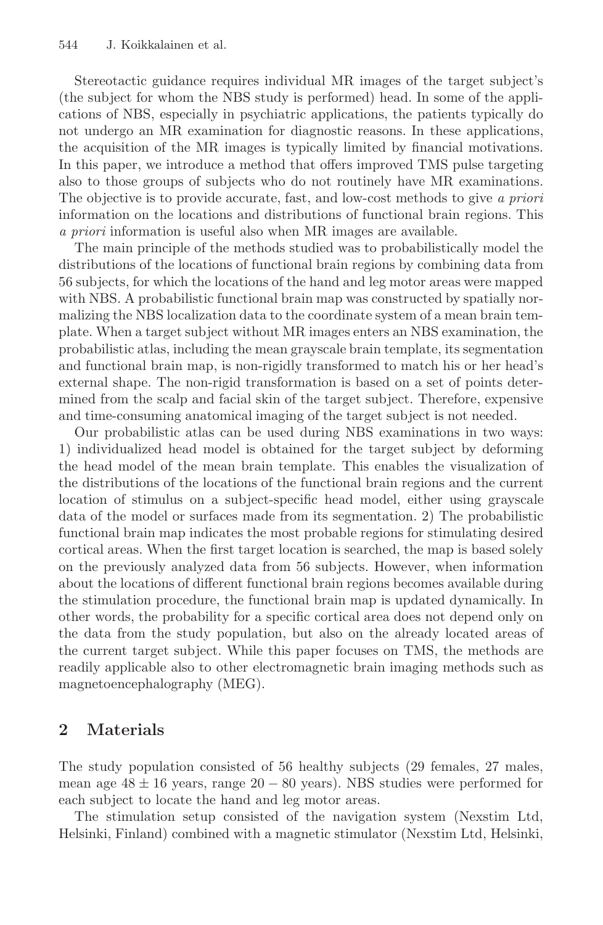Stereotactic guidance requires individual MR images of the target subject's (the subject for whom the NBS study is performed) head. In some of the applications of NBS, especially in psychiatric applications, the patients typically do not undergo an MR examination for diagnostic reasons. In these applications, the acquisition of the MR images is typically limited by financial motivations. In this paper, we introduce a method that offers improved TMS pulse targeting also to those groups of subjects who do not routinely have MR examinations. The objective is to provide accurate, fast, and low-cost methods to give a priori information on the locations and distributions of functional brain regions. This a priori information is useful also when MR images are available.

The main principle of the methods studied was to probabilistically model the distributions of the locations of functional brain regions by combining data from 56 subjects, for which the locations of the hand and leg motor areas were mapped with NBS. A probabilistic functional brain map was constructed by spatially normalizing the NBS localization data to the coordinate system of a mean brain template. When a target subject without MR images enters an NBS examination, the probabilistic atlas, including the mean grayscale brain template, its segmentation and functional brain map, is non-rigidly transformed to match his or her head's external shape. The non-rigid transformation is based on a set of points determined from the scalp and facial skin of the target subject. Therefore, expensive and time-consuming anatomical imaging of the target subject is not needed.

Our probabilistic atlas can be used during NBS examinations in two ways: 1) individualized head model is obtained for the target subject by deforming the head model of the mean brain template. This enables the visualization of the distributions of the locations of the functional brain regions and the current location of stimulus on a subject-specific head model, either using grayscale data of the model or surfaces made from its segmentation. 2) The probabilistic functional brain map indicates the most probable regions for stimulating desired cortical areas. When the first target location is searched, the map is based solely on the previously analyzed data from 56 subjects. However, when information about the locations of different functional brain regions becomes available during the stimulation procedure, the functional brain map is updated dynamically. In other words, the probability for a specific cortical area does not depend only on the data from the study population, but also on the already located areas of the current target subject. While this paper focuses on TMS, the methods are readily applicable also to other electromagnetic brain imaging methods such as magnetoencephalography (MEG).

# **2 Materials**

The study population consisted of 56 healthy subjects (29 females, 27 males, mean age  $48 \pm 16$  years, range  $20 - 80$  years). NBS studies were performed for each subject to locate the hand and leg motor areas.

The stimulation setup consisted of the navigation system (Nexstim Ltd, Helsinki, Finland) combined with a magnetic stimulator (Nexstim Ltd, Helsinki,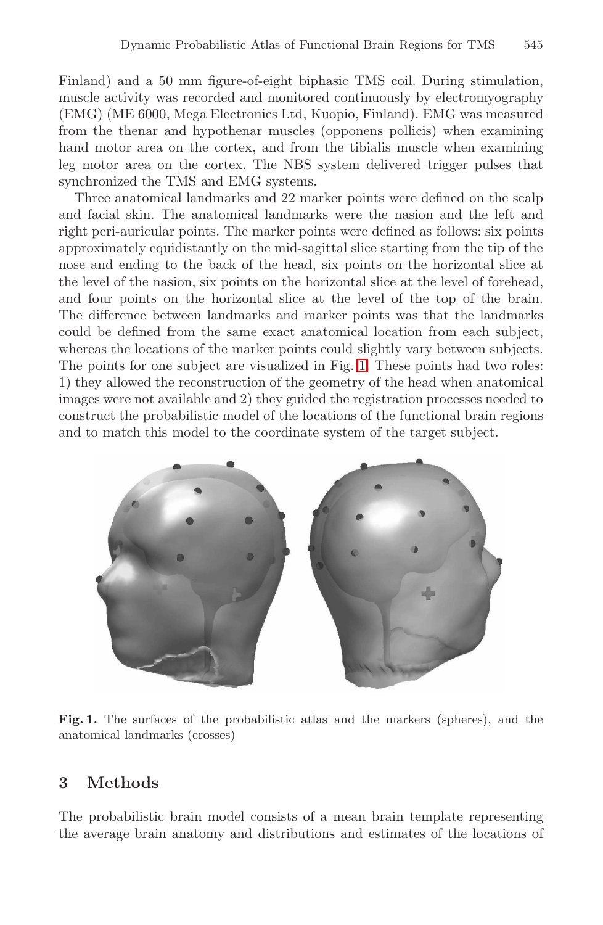Finland) and a 50 mm figure-of-eight biphasic TMS coil. During stimulation, muscle activity was recorded and monitored continuously by electromyography (EMG) (ME 6000, Mega Electronics Ltd, Kuopio, Finland). EMG was measured from the thenar and hypothenar muscles (opponens pollicis) when examining hand motor area on the cortex, and from the tibialis muscle when examining leg motor area on the cortex. The NBS system delivered trigger pulses that synchronized the TMS and EMG systems.

Three anatomical landmarks and 22 marker points were defined on the scalp and facial skin. The anatomical landmarks were the nasion and the left and right peri-auricular points. The marker points were defined as follows: six points approximately equidistantly on the mid-sagittal slice starting from the tip of the nose and ending to the back of the head, six points on the horizontal slice at the level of the nasion, six points on the horizontal slice at the level of forehead, and four points on the horizontal slice at the level of the top of the brain. The difference between landmarks and marker points was that the landmarks could be defined from the same exact anatomical location from each subject, whereas the locations of the marker points could slightly vary between subjects. The points for one subject are visualized in Fig. 1. These points had two roles: 1) they allowed the reconstruction of the geometry of the head when anatomical images were not available and 2) they guided the registration processes needed to construct the probabilistic model of the locations of the functional brain regions and to match this model to the coordinate system of the target subject.



Fig. 1. The surfaces of the probabilistic atlas and the markers (spheres), and the anatomical landmarks (crosses)

# **3 Methods**

The probabilistic brain model consists of a mean brain template representing the average brain anatomy and distributions and estimates of the locations of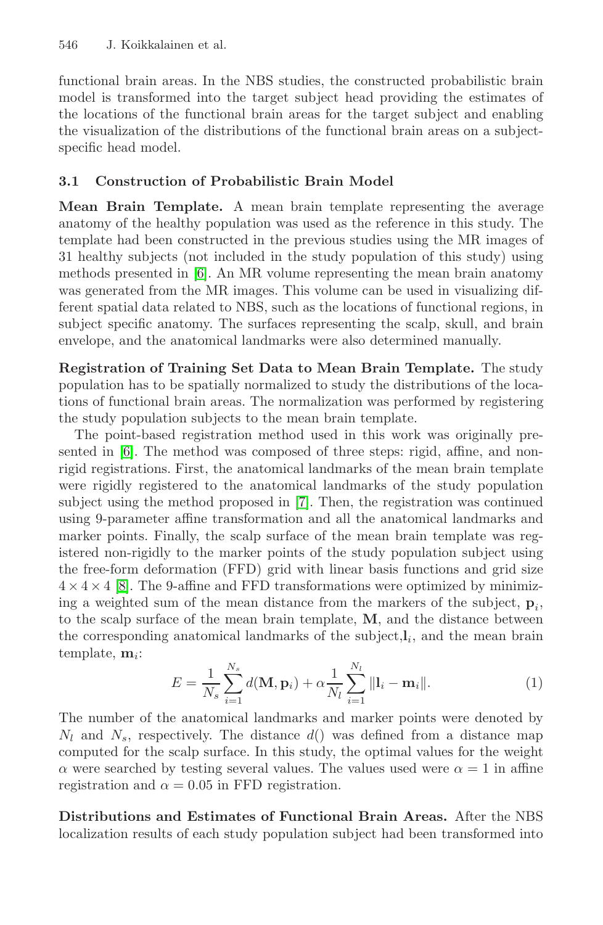#### 546 J. Koikkalainen et al.

functional brain areas. In the NBS studies, the constructed probabilistic brain model is transformed into the target subject head providing the estimates of the locations of the functional brain areas for the target subject and enabling the visualization of the distributions of the functional brain areas on a subjectspecific head model.

#### **3.1 Construction of Probabilistic Brain Model**

**Mean Brain Template.** A mean brain template representing the average anatomy of the healthy population was used as the reference in this study. The template had been constructed in the previous studies using the MR images of 31 healthy subjects (not included in the study population of this study) using methods presented in [6]. An MR volume representing the mean brain anatomy was generated from the MR images. This volume can be used in visualizing different spatial data related to NBS, such as the locations of functional regions, in subject specific anatomy. The surfaces representing the scalp, skull, and brain envelope, and the anatomical landmarks were also determined manually.

**Registration of Training Set Data to Mean Brain Template.** The study population has to be spatially normalized to study the distributions of the locations of functional brain areas. The normalization was performed by registering the study population subjects to the mean brain template.

The point-based registration method used in this work was originally presented in [6]. The method was composed of three steps: rigid, affine, and nonrigid registrations. First, the anatomical landmarks of the mean brain template were rigidly registered to the anatomical landmarks of the study population subject using the method proposed in [7]. Then, the registration was continued using 9-parameter affine transformation and all the anatomical landmarks and marker points. Finally, the scalp surface of the mean brain template was registered non-rigidly to the marker points of the study population subject using the free-form deformation (FFD) grid with linear basis functions and grid size  $4 \times 4 \times 4$  [8]. The 9-affine and FFD transformations were optimized by minimizing a weighted sum of the mean distance from the markers of the subject,  $\mathbf{p}_i$ , to the scalp surface of the mean brain template, **M**, and the distance between the corresponding anatomical landmarks of the subject, $\mathbf{l}_i$ , and the mean brain template,  $\mathbf{m}_i$ :

$$
E = \frac{1}{N_s} \sum_{i=1}^{N_s} d(\mathbf{M}, \mathbf{p}_i) + \alpha \frac{1}{N_l} \sum_{i=1}^{N_l} ||\mathbf{l}_i - \mathbf{m}_i||.
$$
 (1)

The number of the anatomical landmarks and marker points were denoted by  $N_l$  and  $N_s$ , respectively. The distance  $d()$  was defined from a distance map computed for the scalp surface. In this study, the optimal values for the weight  $\alpha$  were searched by testing several values. The values used were  $\alpha = 1$  in affine registration and  $\alpha = 0.05$  in FFD registration.

**Distributions and Estimates of Functional Brain Areas.** After the NBS localization results of each study population subject had been transformed into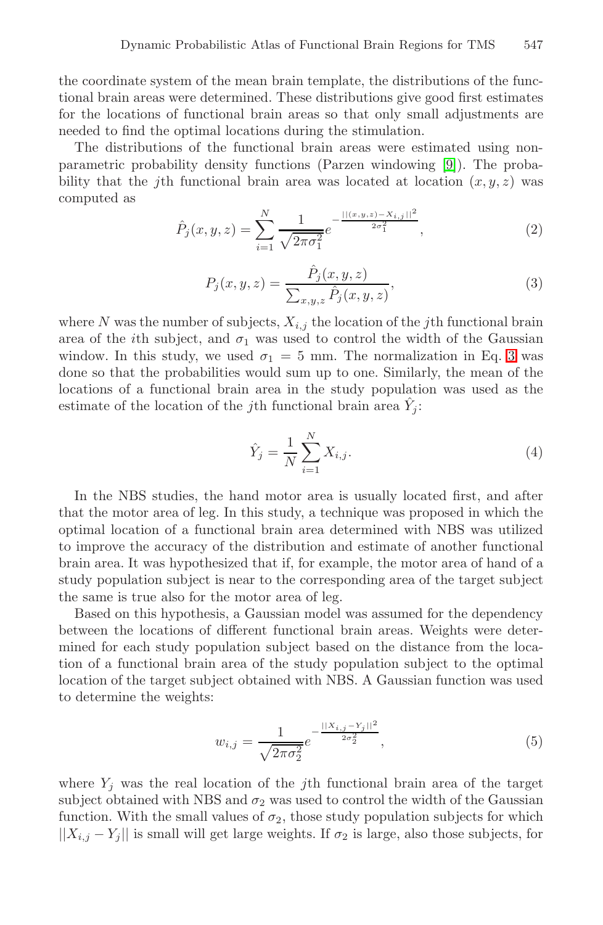the coordinate system of the mean brain template, the distributions of the functional brain areas were determined. These distributions give good first estimates for the locations of functional brain areas so that only small adjustments are needed to find the optimal locations during the stimulation.

The distributions of the functional brain areas were estimated using nonparametric probability density functions (Parzen windowing [9]). The probability that the *j*th functional brain area was located at location  $(x, y, z)$  was computed as

$$
\hat{P}_j(x, y, z) = \sum_{i=1}^{N} \frac{1}{\sqrt{2\pi\sigma_1^2}} e^{-\frac{||(x, y, z) - X_{i,j}||^2}{2\sigma_1^2}},
$$
\n(2)

$$
P_j(x, y, z) = \frac{\hat{P}_j(x, y, z)}{\sum_{x, y, z} \hat{P}_j(x, y, z)},
$$
\n(3)

where N was the number of subjects,  $X_{i,j}$  the location of the jth functional brain area of the *i*th subject, and  $\sigma_1$  was used to control the width of the Gaussian window. In this study, we used  $\sigma_1 = 5$  mm. The normalization in Eq. 3 was done so that the probabilities would sum up to one. Similarly, the mean of the locations of a functional brain area in the study population was used as the estimate of the location of the j<sup>th</sup> functional brain area  $\hat{Y}_i$ :

$$
\hat{Y}_j = \frac{1}{N} \sum_{i=1}^{N} X_{i,j}.
$$
\n(4)

In the NBS studies, the hand motor area is usually located first, and after that the motor area of leg. In this study, a technique was proposed in which the optimal location of a functional brain area determined with NBS was utilized to improve the accuracy of the distribution and estimate of another functional brain area. It was hypothesized that if, for example, the motor area of hand of a study population subject is near to the corresponding area of the target subject the same is true also for the motor area of leg.

Based on this hypothesis, a Gaussian model was assumed for the dependency between the locations of different functional brain areas. Weights were determined for each study population subject based on the distance from the location of a functional brain area of the study population subject to the optimal location of the target subject obtained with NBS. A Gaussian function was used to determine the weights:

$$
w_{i,j} = \frac{1}{\sqrt{2\pi\sigma_2^2}} e^{-\frac{||X_{i,j} - Y_j||^2}{2\sigma_2^2}},
$$
\n(5)

where  $Y_i$  was the real location of the jth functional brain area of the target subject obtained with NBS and  $\sigma_2$  was used to control the width of the Gaussian function. With the small values of  $\sigma_2$ , those study population subjects for which  $||X_{i,j} - Y_j||$  is small will get large weights. If  $\sigma_2$  is large, also those subjects, for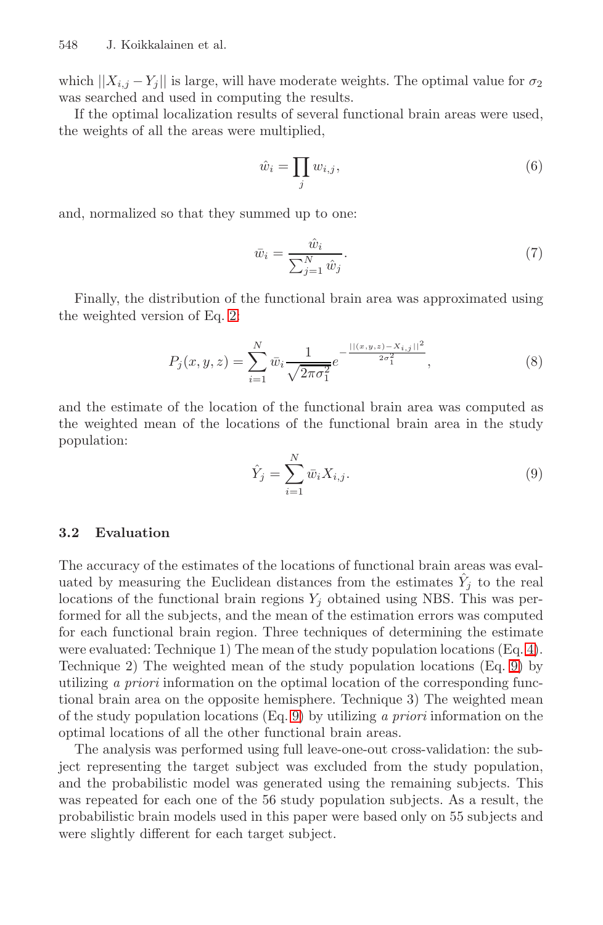548 J. Koikkalainen et al.

which  $||X_{i,j} - Y_j||$  is large, will have moderate weights. The optimal value for  $\sigma_2$ was searched and used in computing the results.

If the optimal localization results of several functional brain areas were used, the weights of all the areas were multiplied,

$$
\hat{w}_i = \prod_j w_{i,j},\tag{6}
$$

and, normalized so that they summed up to one:

$$
\bar{w}_i = \frac{\hat{w}_i}{\sum_{j=1}^N \hat{w}_j}.\tag{7}
$$

Finally, the distribution of the functional brain area was approximated using the weighted version of Eq. 2:

$$
P_j(x, y, z) = \sum_{i=1}^{N} \bar{w}_i \frac{1}{\sqrt{2\pi\sigma_1^2}} e^{-\frac{||(x, y, z) - X_{i,j}||^2}{2\sigma_1^2}},
$$
\n(8)

and the estimate of the location of the functional brain area was computed as the weighted mean of the locations of the functional brain area in the study population:

$$
\hat{Y}_j = \sum_{i=1}^N \bar{w}_i X_{i,j}.
$$
\n(9)

#### **3.2 Evaluation**

The accuracy of the estimates of the locations of functional brain areas was evaluated by measuring the Euclidean distances from the estimates  $Y_i$  to the real locations of the functional brain regions  $Y_i$  obtained using NBS. This was performed for all the subjects, and the mean of the estimation errors was computed for each functional brain region. Three techniques of determining the estimate were evaluated: Technique 1) The mean of the study population locations (Eq. 4). Technique 2) The weighted mean of the study population locations (Eq. 9) by utilizing a priori information on the optimal location of the corresponding functional brain area on the opposite hemisphere. Technique 3) The weighted mean of the study population locations (Eq. 9) by utilizing a priori information on the optimal locations of all the other functional brain areas.

The analysis was performed using full leave-one-out cross-validation: the subject representing the target subject was excluded from the study population, and the probabilistic model was generated using the remaining subjects. This was repeated for each one of the 56 study population subjects. As a result, the probabilistic brain models used in this paper were based only on 55 subjects and were slightly different for each target subject.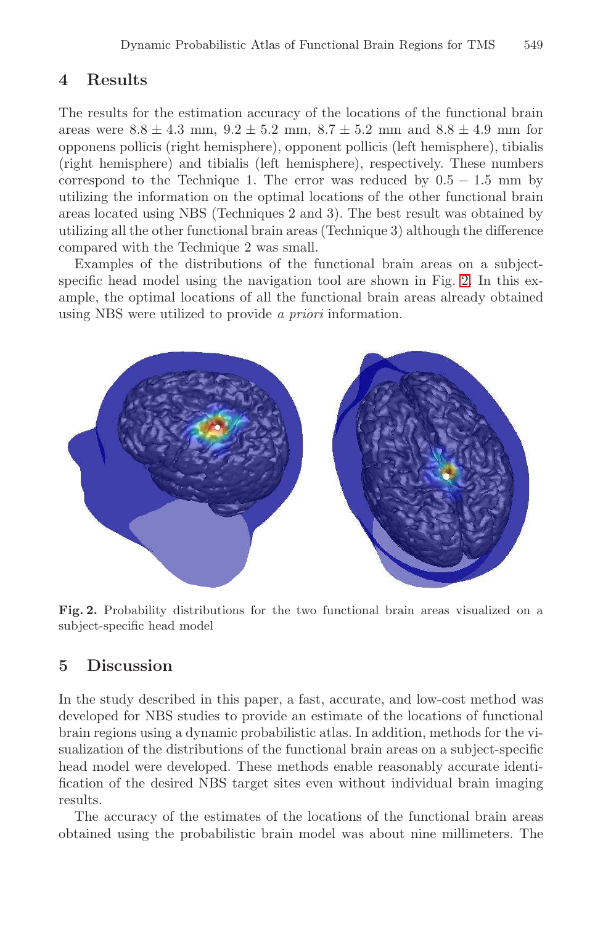# **4 Results**

The results for the estimation accuracy of the locations of the functional brain areas were  $8.8 \pm 4.3$  mm,  $9.2 \pm 5.2$  mm,  $8.7 \pm 5.2$  mm and  $8.8 \pm 4.9$  mm for opponens pollicis (right hemisphere), opponent pollicis (left hemisphere), tibialis (right hemisphere) and tibialis (left hemisphere), respectively. These numbers correspond to the Technique 1. The error was reduced by  $0.5 - 1.5$  mm by utilizing the information on the optimal locations of the other functional brain areas located using NBS (Techniques 2 and 3). The best result was obtained by utilizing all the other functional brain areas (Technique 3) although the difference compared with the Technique 2 was small.

Examples of the distributions of the functional brain areas on a subjectspecific head model using the navigation tool are shown in Fig. 2. In this example, the optimal locations of all the functional brain areas already obtained using NBS were utilized to provide a priori information.



**Fig. 2.** Probability distributions for the two functional brain areas visualized on a subject-specific head model

### **5 Discussion**

In the study described in this paper, a fast, accurate, and low-cost method was developed for NBS studies to provide an estimate of the locations of functional brain regions using a dynamic probabilistic atlas. In addition, methods for the visualization of the distributions of the functional brain areas on a subject-specific head model were developed. These methods enable reasonably accurate identification of the desired NBS target sites even without individual brain imaging results.

The accuracy of the estimates of the locations of the functional brain areas obtained using the probabilistic brain model was about nine millimeters. The